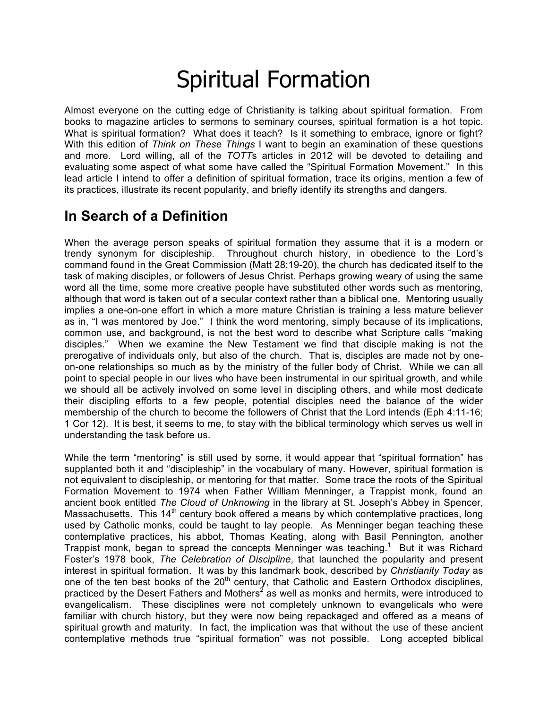# Spiritual Formation

Almost everyone on the cutting edge of Christianity is talking about spiritual formation. From books to magazine articles to sermons to seminary courses, spiritual formation is a hot topic. What is spiritual formation? What does it teach? Is it something to embrace, ignore or fight? With this edition of *Think on These Things* I want to begin an examination of these questions and more. Lord willing, all of the *TOTT*s articles in 2012 will be devoted to detailing and evaluating some aspect of what some have called the "Spiritual Formation Movement." In this lead article I intend to offer a definition of spiritual formation, trace its origins, mention a few of its practices, illustrate its recent popularity, and briefly identify its strengths and dangers.

### **In Search of a Definition**

When the average person speaks of spiritual formation they assume that it is a modern or trendy synonym for discipleship. Throughout church history, in obedience to the Lord's command found in the Great Commission (Matt 28:19-20), the church has dedicated itself to the task of making disciples, or followers of Jesus Christ. Perhaps growing weary of using the same word all the time, some more creative people have substituted other words such as mentoring, although that word is taken out of a secular context rather than a biblical one. Mentoring usually implies a one-on-one effort in which a more mature Christian is training a less mature believer as in, "I was mentored by Joe." I think the word mentoring, simply because of its implications, common use, and background, is not the best word to describe what Scripture calls "making disciples." When we examine the New Testament we find that disciple making is not the prerogative of individuals only, but also of the church. That is, disciples are made not by oneon-one relationships so much as by the ministry of the fuller body of Christ. While we can all point to special people in our lives who have been instrumental in our spiritual growth, and while we should all be actively involved on some level in discipling others, and while most dedicate their discipling efforts to a few people, potential disciples need the balance of the wider membership of the church to become the followers of Christ that the Lord intends (Eph 4:11-16; 1 Cor 12). It is best, it seems to me, to stay with the biblical terminology which serves us well in understanding the task before us.

While the term "mentoring" is still used by some, it would appear that "spiritual formation" has supplanted both it and "discipleship" in the vocabulary of many. However, spiritual formation is not equivalent to discipleship, or mentoring for that matter. Some trace the roots of the Spiritual Formation Movement to 1974 when Father William Menninger, a Trappist monk, found an ancient book entitled *The Cloud of Unknowing* in the library at St. Joseph's Abbey in Spencer, Massachusetts. This  $14<sup>th</sup>$  century book offered a means by which contemplative practices, long used by Catholic monks, could be taught to lay people. As Menninger began teaching these contemplative practices, his abbot, Thomas Keating, along with Basil Pennington, another Trappist monk, began to spread the concepts Menninger was teaching.<sup>1</sup> But it was Richard Foster's 1978 book, *The Celebration of Discipline*, that launched the popularity and present interest in spiritual formation. It was by this landmark book, described by *Christianity Today* as one of the ten best books of the 20<sup>th</sup> century, that Catholic and Eastern Orthodox disciplines, practiced by the Desert Fathers and Mothers<sup>2</sup> as well as monks and hermits, were introduced to evangelicalism. These disciplines were not completely unknown to evangelicals who were familiar with church history, but they were now being repackaged and offered as a means of spiritual growth and maturity. In fact, the implication was that without the use of these ancient contemplative methods true "spiritual formation" was not possible. Long accepted biblical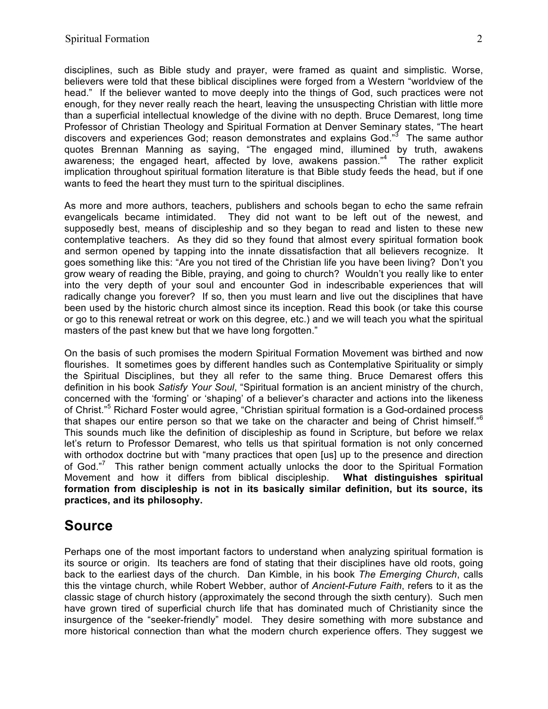disciplines, such as Bible study and prayer, were framed as quaint and simplistic. Worse, believers were told that these biblical disciplines were forged from a Western "worldview of the head." If the believer wanted to move deeply into the things of God, such practices were not enough, for they never really reach the heart, leaving the unsuspecting Christian with little more than a superficial intellectual knowledge of the divine with no depth. Bruce Demarest, long time Professor of Christian Theology and Spiritual Formation at Denver Seminary states, "The heart discovers and experiences God; reason demonstrates and explains God."<sup>3</sup> The same author quotes Brennan Manning as saying, "The engaged mind, illumined by truth, awakens awareness; the engaged heart, affected by love, awakens passion."<sup>4</sup> The rather explicit implication throughout spiritual formation literature is that Bible study feeds the head, but if one wants to feed the heart they must turn to the spiritual disciplines.

As more and more authors, teachers, publishers and schools began to echo the same refrain evangelicals became intimidated. They did not want to be left out of the newest, and supposedly best, means of discipleship and so they began to read and listen to these new contemplative teachers. As they did so they found that almost every spiritual formation book and sermon opened by tapping into the innate dissatisfaction that all believers recognize. It goes something like this: "Are you not tired of the Christian life you have been living? Don't you grow weary of reading the Bible, praying, and going to church? Wouldn't you really like to enter into the very depth of your soul and encounter God in indescribable experiences that will radically change you forever? If so, then you must learn and live out the disciplines that have been used by the historic church almost since its inception. Read this book (or take this course or go to this renewal retreat or work on this degree, etc.) and we will teach you what the spiritual masters of the past knew but that we have long forgotten."

On the basis of such promises the modern Spiritual Formation Movement was birthed and now flourishes. It sometimes goes by different handles such as Contemplative Spirituality or simply the Spiritual Disciplines, but they all refer to the same thing. Bruce Demarest offers this definition in his book *Satisfy Your Soul*, "Spiritual formation is an ancient ministry of the church, concerned with the 'forming' or 'shaping' of a believer's character and actions into the likeness of Christ."<sup>5</sup> Richard Foster would agree, "Christian spiritual formation is a God-ordained process that shapes our entire person so that we take on the character and being of Christ himself."<sup>6</sup> This sounds much like the definition of discipleship as found in Scripture, but before we relax let's return to Professor Demarest, who tells us that spiritual formation is not only concerned with orthodox doctrine but with "many practices that open [us] up to the presence and direction of God."<sup>7</sup> This rather benign comment actually unlocks the door to the Spiritual Formation Movement and how it differs from biblical discipleship. **What distinguishes spiritual formation from discipleship is not in its basically similar definition, but its source, its practices, and its philosophy.**

#### **Source**

Perhaps one of the most important factors to understand when analyzing spiritual formation is its source or origin. Its teachers are fond of stating that their disciplines have old roots, going back to the earliest days of the church. Dan Kimble, in his book *The Emerging Church*, calls this the vintage church, while Robert Webber, author of *Ancient-Future Faith*, refers to it as the classic stage of church history (approximately the second through the sixth century). Such men have grown tired of superficial church life that has dominated much of Christianity since the insurgence of the "seeker-friendly" model. They desire something with more substance and more historical connection than what the modern church experience offers. They suggest we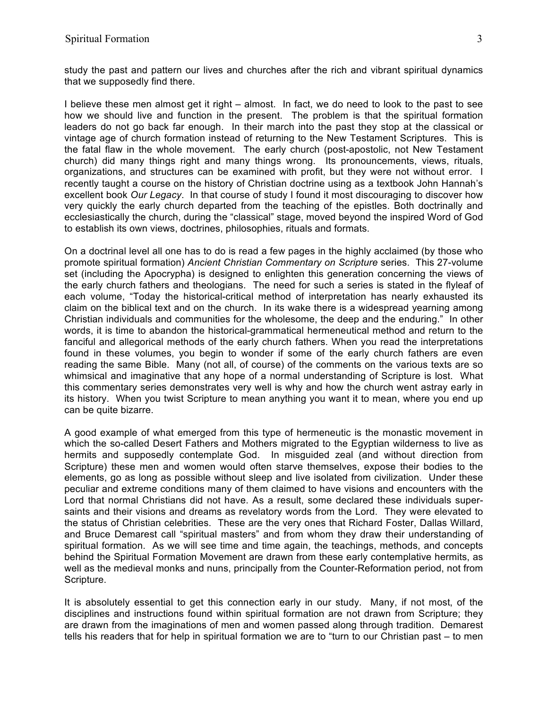study the past and pattern our lives and churches after the rich and vibrant spiritual dynamics that we supposedly find there.

I believe these men almost get it right – almost. In fact, we do need to look to the past to see how we should live and function in the present. The problem is that the spiritual formation leaders do not go back far enough. In their march into the past they stop at the classical or vintage age of church formation instead of returning to the New Testament Scriptures. This is the fatal flaw in the whole movement. The early church (post-apostolic, not New Testament church) did many things right and many things wrong. Its pronouncements, views, rituals, organizations, and structures can be examined with profit, but they were not without error. I recently taught a course on the history of Christian doctrine using as a textbook John Hannah's excellent book *Our Legacy*. In that course of study I found it most discouraging to discover how very quickly the early church departed from the teaching of the epistles. Both doctrinally and ecclesiastically the church, during the "classical" stage, moved beyond the inspired Word of God to establish its own views, doctrines, philosophies, rituals and formats.

On a doctrinal level all one has to do is read a few pages in the highly acclaimed (by those who promote spiritual formation) *Ancient Christian Commentary on Scripture* series. This 27-volume set (including the Apocrypha) is designed to enlighten this generation concerning the views of the early church fathers and theologians. The need for such a series is stated in the flyleaf of each volume, "Today the historical-critical method of interpretation has nearly exhausted its claim on the biblical text and on the church. In its wake there is a widespread yearning among Christian individuals and communities for the wholesome, the deep and the enduring." In other words, it is time to abandon the historical-grammatical hermeneutical method and return to the fanciful and allegorical methods of the early church fathers. When you read the interpretations found in these volumes, you begin to wonder if some of the early church fathers are even reading the same Bible. Many (not all, of course) of the comments on the various texts are so whimsical and imaginative that any hope of a normal understanding of Scripture is lost. What this commentary series demonstrates very well is why and how the church went astray early in its history. When you twist Scripture to mean anything you want it to mean, where you end up can be quite bizarre.

A good example of what emerged from this type of hermeneutic is the monastic movement in which the so-called Desert Fathers and Mothers migrated to the Egyptian wilderness to live as hermits and supposedly contemplate God. In misguided zeal (and without direction from Scripture) these men and women would often starve themselves, expose their bodies to the elements, go as long as possible without sleep and live isolated from civilization. Under these peculiar and extreme conditions many of them claimed to have visions and encounters with the Lord that normal Christians did not have. As a result, some declared these individuals supersaints and their visions and dreams as revelatory words from the Lord. They were elevated to the status of Christian celebrities. These are the very ones that Richard Foster, Dallas Willard, and Bruce Demarest call "spiritual masters" and from whom they draw their understanding of spiritual formation. As we will see time and time again, the teachings, methods, and concepts behind the Spiritual Formation Movement are drawn from these early contemplative hermits, as well as the medieval monks and nuns, principally from the Counter-Reformation period, not from Scripture.

It is absolutely essential to get this connection early in our study. Many, if not most, of the disciplines and instructions found within spiritual formation are not drawn from Scripture; they are drawn from the imaginations of men and women passed along through tradition. Demarest tells his readers that for help in spiritual formation we are to "turn to our Christian past – to men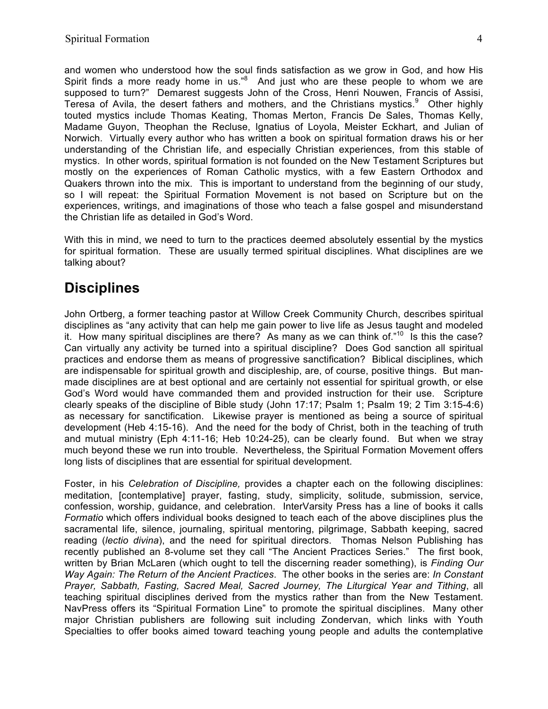and women who understood how the soul finds satisfaction as we grow in God, and how His Spirit finds a more ready home in us." $8$  And just who are these people to whom we are supposed to turn?" Demarest suggests John of the Cross, Henri Nouwen, Francis of Assisi, Teresa of Avila, the desert fathers and mothers, and the Christians mystics. $9$  Other highly touted mystics include Thomas Keating, Thomas Merton, Francis De Sales, Thomas Kelly, Madame Guyon, Theophan the Recluse, Ignatius of Loyola, Meister Eckhart, and Julian of Norwich. Virtually every author who has written a book on spiritual formation draws his or her understanding of the Christian life, and especially Christian experiences, from this stable of mystics. In other words, spiritual formation is not founded on the New Testament Scriptures but mostly on the experiences of Roman Catholic mystics, with a few Eastern Orthodox and Quakers thrown into the mix. This is important to understand from the beginning of our study, so I will repeat: the Spiritual Formation Movement is not based on Scripture but on the experiences, writings, and imaginations of those who teach a false gospel and misunderstand the Christian life as detailed in God's Word.

With this in mind, we need to turn to the practices deemed absolutely essential by the mystics for spiritual formation. These are usually termed spiritual disciplines. What disciplines are we talking about?

### **Disciplines**

John Ortberg, a former teaching pastor at Willow Creek Community Church, describes spiritual disciplines as "any activity that can help me gain power to live life as Jesus taught and modeled it. How many spiritual disciplines are there? As many as we can think of. $10^{\circ}$  Is this the case? Can virtually any activity be turned into a spiritual discipline? Does God sanction all spiritual practices and endorse them as means of progressive sanctification? Biblical disciplines, which are indispensable for spiritual growth and discipleship, are, of course, positive things. But manmade disciplines are at best optional and are certainly not essential for spiritual growth, or else God's Word would have commanded them and provided instruction for their use. Scripture clearly speaks of the discipline of Bible study (John 17:17; Psalm 1; Psalm 19; 2 Tim 3:15-4:6) as necessary for sanctification. Likewise prayer is mentioned as being a source of spiritual development (Heb 4:15-16). And the need for the body of Christ, both in the teaching of truth and mutual ministry (Eph 4:11-16; Heb 10:24-25), can be clearly found. But when we stray much beyond these we run into trouble. Nevertheless, the Spiritual Formation Movement offers long lists of disciplines that are essential for spiritual development.

Foster, in his *Celebration of Discipline,* provides a chapter each on the following disciplines: meditation, [contemplative] prayer, fasting, study, simplicity, solitude, submission, service, confession, worship, guidance, and celebration. InterVarsity Press has a line of books it calls *Formatio* which offers individual books designed to teach each of the above disciplines plus the sacramental life, silence, journaling, spiritual mentoring, pilgrimage, Sabbath keeping, sacred reading (*lectio divina*), and the need for spiritual directors. Thomas Nelson Publishing has recently published an 8-volume set they call "The Ancient Practices Series." The first book, written by Brian McLaren (which ought to tell the discerning reader something), is *Finding Our Way Again: The Return of the Ancient Practices*. The other books in the series are: *In Constant Prayer, Sabbath, Fasting, Sacred Meal, Sacred Journey, The Liturgical Year and Tithing*, all teaching spiritual disciplines derived from the mystics rather than from the New Testament. NavPress offers its "Spiritual Formation Line" to promote the spiritual disciplines. Many other major Christian publishers are following suit including Zondervan, which links with Youth Specialties to offer books aimed toward teaching young people and adults the contemplative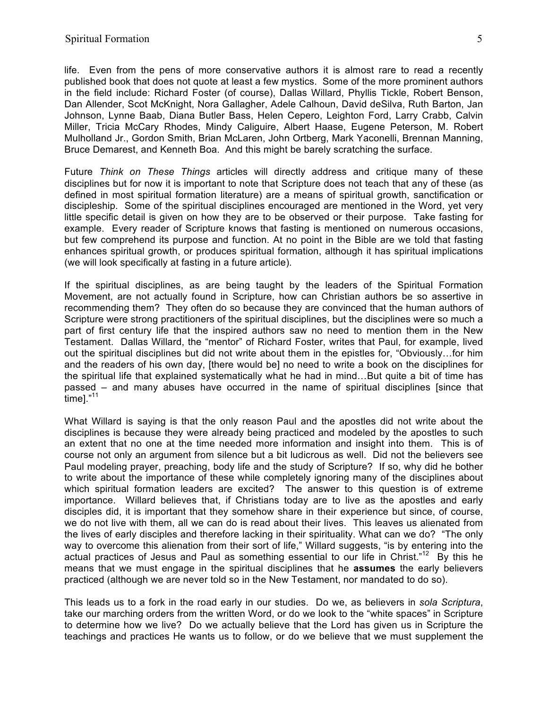life. Even from the pens of more conservative authors it is almost rare to read a recently published book that does not quote at least a few mystics. Some of the more prominent authors in the field include: Richard Foster (of course), Dallas Willard, Phyllis Tickle, Robert Benson, Dan Allender, Scot McKnight, Nora Gallagher, Adele Calhoun, David deSilva, Ruth Barton, Jan Johnson, Lynne Baab, Diana Butler Bass, Helen Cepero, Leighton Ford, Larry Crabb, Calvin Miller, Tricia McCary Rhodes, Mindy Caliguire, Albert Haase, Eugene Peterson, M. Robert Mulholland Jr., Gordon Smith, Brian McLaren, John Ortberg, Mark Yaconelli, Brennan Manning, Bruce Demarest, and Kenneth Boa. And this might be barely scratching the surface.

Future *Think on These Things* articles will directly address and critique many of these disciplines but for now it is important to note that Scripture does not teach that any of these (as defined in most spiritual formation literature) are a means of spiritual growth, sanctification or discipleship. Some of the spiritual disciplines encouraged are mentioned in the Word, yet very little specific detail is given on how they are to be observed or their purpose. Take fasting for example. Every reader of Scripture knows that fasting is mentioned on numerous occasions, but few comprehend its purpose and function. At no point in the Bible are we told that fasting enhances spiritual growth, or produces spiritual formation, although it has spiritual implications (we will look specifically at fasting in a future article).

If the spiritual disciplines, as are being taught by the leaders of the Spiritual Formation Movement, are not actually found in Scripture, how can Christian authors be so assertive in recommending them? They often do so because they are convinced that the human authors of Scripture were strong practitioners of the spiritual disciplines, but the disciplines were so much a part of first century life that the inspired authors saw no need to mention them in the New Testament. Dallas Willard, the "mentor" of Richard Foster, writes that Paul, for example, lived out the spiritual disciplines but did not write about them in the epistles for, "Obviously…for him and the readers of his own day, [there would be] no need to write a book on the disciplines for the spiritual life that explained systematically what he had in mind…But quite a bit of time has passed – and many abuses have occurred in the name of spiritual disciplines [since that .<br>time]."<sup>11</sup>

What Willard is saying is that the only reason Paul and the apostles did not write about the disciplines is because they were already being practiced and modeled by the apostles to such an extent that no one at the time needed more information and insight into them. This is of course not only an argument from silence but a bit ludicrous as well. Did not the believers see Paul modeling prayer, preaching, body life and the study of Scripture? If so, why did he bother to write about the importance of these while completely ignoring many of the disciplines about which spiritual formation leaders are excited? The answer to this question is of extreme importance. Willard believes that, if Christians today are to live as the apostles and early disciples did, it is important that they somehow share in their experience but since, of course, we do not live with them, all we can do is read about their lives. This leaves us alienated from the lives of early disciples and therefore lacking in their spirituality. What can we do? "The only way to overcome this alienation from their sort of life," Willard suggests, "is by entering into the actual practices of Jesus and Paul as something essential to our life in Christ."<sup>12</sup> By this he means that we must engage in the spiritual disciplines that he **assumes** the early believers practiced (although we are never told so in the New Testament, nor mandated to do so).

This leads us to a fork in the road early in our studies. Do we, as believers in *sola Scriptura*, take our marching orders from the written Word, or do we look to the "white spaces" in Scripture to determine how we live? Do we actually believe that the Lord has given us in Scripture the teachings and practices He wants us to follow, or do we believe that we must supplement the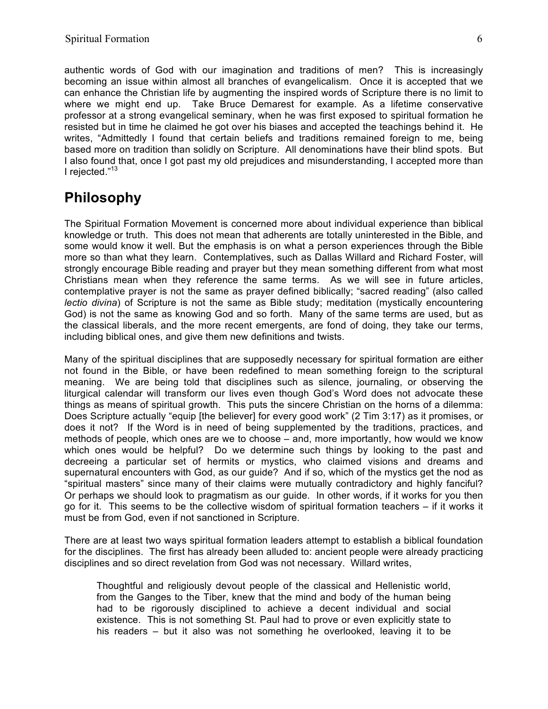authentic words of God with our imagination and traditions of men? This is increasingly becoming an issue within almost all branches of evangelicalism. Once it is accepted that we can enhance the Christian life by augmenting the inspired words of Scripture there is no limit to where we might end up. Take Bruce Demarest for example. As a lifetime conservative professor at a strong evangelical seminary, when he was first exposed to spiritual formation he resisted but in time he claimed he got over his biases and accepted the teachings behind it. He writes, "Admittedly I found that certain beliefs and traditions remained foreign to me, being based more on tradition than solidly on Scripture. All denominations have their blind spots. But I also found that, once I got past my old prejudices and misunderstanding, I accepted more than I rejected."<sup>13</sup>

## **Philosophy**

The Spiritual Formation Movement is concerned more about individual experience than biblical knowledge or truth. This does not mean that adherents are totally uninterested in the Bible, and some would know it well. But the emphasis is on what a person experiences through the Bible more so than what they learn. Contemplatives, such as Dallas Willard and Richard Foster, will strongly encourage Bible reading and prayer but they mean something different from what most Christians mean when they reference the same terms. As we will see in future articles, contemplative prayer is not the same as prayer defined biblically; "sacred reading" (also called *lectio divina*) of Scripture is not the same as Bible study; meditation (mystically encountering God) is not the same as knowing God and so forth. Many of the same terms are used, but as the classical liberals, and the more recent emergents, are fond of doing, they take our terms, including biblical ones, and give them new definitions and twists.

Many of the spiritual disciplines that are supposedly necessary for spiritual formation are either not found in the Bible, or have been redefined to mean something foreign to the scriptural meaning. We are being told that disciplines such as silence, journaling, or observing the liturgical calendar will transform our lives even though God's Word does not advocate these things as means of spiritual growth. This puts the sincere Christian on the horns of a dilemma: Does Scripture actually "equip [the believer] for every good work" (2 Tim 3:17) as it promises, or does it not? If the Word is in need of being supplemented by the traditions, practices, and methods of people, which ones are we to choose – and, more importantly, how would we know which ones would be helpful? Do we determine such things by looking to the past and decreeing a particular set of hermits or mystics, who claimed visions and dreams and supernatural encounters with God, as our guide? And if so, which of the mystics get the nod as "spiritual masters" since many of their claims were mutually contradictory and highly fanciful? Or perhaps we should look to pragmatism as our guide. In other words, if it works for you then go for it. This seems to be the collective wisdom of spiritual formation teachers – if it works it must be from God, even if not sanctioned in Scripture.

There are at least two ways spiritual formation leaders attempt to establish a biblical foundation for the disciplines. The first has already been alluded to: ancient people were already practicing disciplines and so direct revelation from God was not necessary. Willard writes,

Thoughtful and religiously devout people of the classical and Hellenistic world, from the Ganges to the Tiber, knew that the mind and body of the human being had to be rigorously disciplined to achieve a decent individual and social existence. This is not something St. Paul had to prove or even explicitly state to his readers – but it also was not something he overlooked, leaving it to be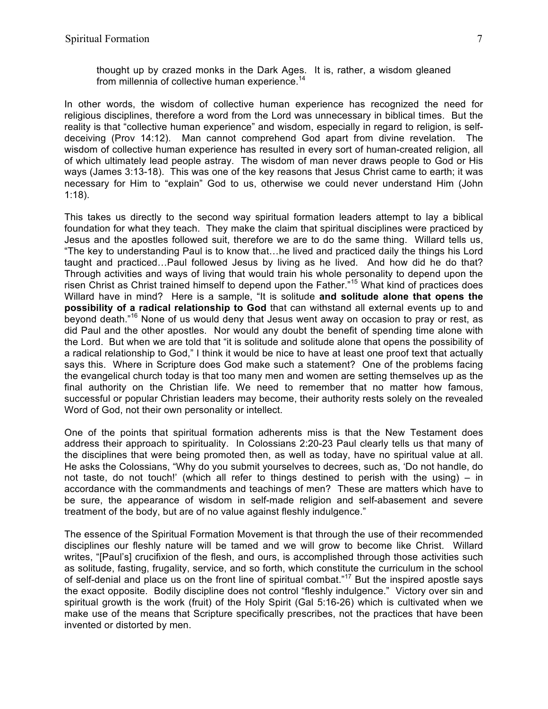thought up by crazed monks in the Dark Ages. It is, rather, a wisdom gleaned from millennia of collective human experience. $14$ 

In other words, the wisdom of collective human experience has recognized the need for religious disciplines, therefore a word from the Lord was unnecessary in biblical times. But the reality is that "collective human experience" and wisdom, especially in regard to religion, is selfdeceiving (Prov 14:12). Man cannot comprehend God apart from divine revelation. The wisdom of collective human experience has resulted in every sort of human-created religion, all of which ultimately lead people astray. The wisdom of man never draws people to God or His ways (James 3:13-18). This was one of the key reasons that Jesus Christ came to earth; it was necessary for Him to "explain" God to us, otherwise we could never understand Him (John 1:18).

This takes us directly to the second way spiritual formation leaders attempt to lay a biblical foundation for what they teach. They make the claim that spiritual disciplines were practiced by Jesus and the apostles followed suit, therefore we are to do the same thing. Willard tells us, "The key to understanding Paul is to know that…he lived and practiced daily the things his Lord taught and practiced…Paul followed Jesus by living as he lived. And how did he do that? Through activities and ways of living that would train his whole personality to depend upon the risen Christ as Christ trained himself to depend upon the Father."<sup>15</sup> What kind of practices does Willard have in mind? Here is a sample, "It is solitude **and solitude alone that opens the possibility of a radical relationship to God** that can withstand all external events up to and beyond death."<sup>16</sup> None of us would deny that Jesus went away on occasion to pray or rest, as did Paul and the other apostles. Nor would any doubt the benefit of spending time alone with the Lord. But when we are told that "it is solitude and solitude alone that opens the possibility of a radical relationship to God," I think it would be nice to have at least one proof text that actually says this. Where in Scripture does God make such a statement? One of the problems facing the evangelical church today is that too many men and women are setting themselves up as the final authority on the Christian life. We need to remember that no matter how famous, successful or popular Christian leaders may become, their authority rests solely on the revealed Word of God, not their own personality or intellect.

One of the points that spiritual formation adherents miss is that the New Testament does address their approach to spirituality. In Colossians 2:20-23 Paul clearly tells us that many of the disciplines that were being promoted then, as well as today, have no spiritual value at all. He asks the Colossians, "Why do you submit yourselves to decrees, such as, 'Do not handle, do not taste, do not touch!' (which all refer to things destined to perish with the using) – in accordance with the commandments and teachings of men? These are matters which have to be sure, the appearance of wisdom in self-made religion and self-abasement and severe treatment of the body, but are of no value against fleshly indulgence."

The essence of the Spiritual Formation Movement is that through the use of their recommended disciplines our fleshly nature will be tamed and we will grow to become like Christ. Willard writes, "[Paul's] crucifixion of the flesh, and ours, is accomplished through those activities such as solitude, fasting, frugality, service, and so forth, which constitute the curriculum in the school of self-denial and place us on the front line of spiritual combat."<sup>17</sup> But the inspired apostle says the exact opposite. Bodily discipline does not control "fleshly indulgence." Victory over sin and spiritual growth is the work (fruit) of the Holy Spirit (Gal 5:16-26) which is cultivated when we make use of the means that Scripture specifically prescribes, not the practices that have been invented or distorted by men.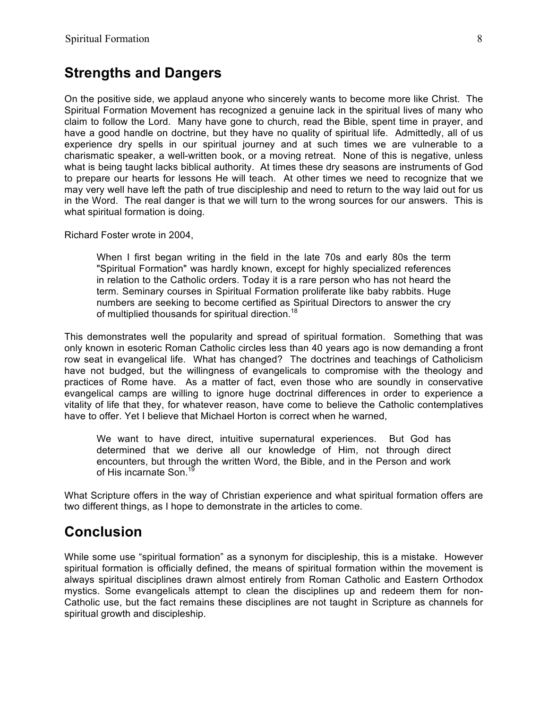#### **Strengths and Dangers**

On the positive side, we applaud anyone who sincerely wants to become more like Christ. The Spiritual Formation Movement has recognized a genuine lack in the spiritual lives of many who claim to follow the Lord. Many have gone to church, read the Bible, spent time in prayer, and have a good handle on doctrine, but they have no quality of spiritual life. Admittedly, all of us experience dry spells in our spiritual journey and at such times we are vulnerable to a charismatic speaker, a well-written book, or a moving retreat. None of this is negative, unless what is being taught lacks biblical authority. At times these dry seasons are instruments of God to prepare our hearts for lessons He will teach. At other times we need to recognize that we may very well have left the path of true discipleship and need to return to the way laid out for us in the Word. The real danger is that we will turn to the wrong sources for our answers. This is what spiritual formation is doing.

Richard Foster wrote in 2004,

When I first began writing in the field in the late 70s and early 80s the term "Spiritual Formation" was hardly known, except for highly specialized references in relation to the Catholic orders. Today it is a rare person who has not heard the term. Seminary courses in Spiritual Formation proliferate like baby rabbits. Huge numbers are seeking to become certified as Spiritual Directors to answer the cry of multiplied thousands for spiritual direction.<sup>18</sup>

This demonstrates well the popularity and spread of spiritual formation. Something that was only known in esoteric Roman Catholic circles less than 40 years ago is now demanding a front row seat in evangelical life. What has changed? The doctrines and teachings of Catholicism have not budged, but the willingness of evangelicals to compromise with the theology and practices of Rome have. As a matter of fact, even those who are soundly in conservative evangelical camps are willing to ignore huge doctrinal differences in order to experience a vitality of life that they, for whatever reason, have come to believe the Catholic contemplatives have to offer. Yet I believe that Michael Horton is correct when he warned,

We want to have direct, intuitive supernatural experiences. But God has determined that we derive all our knowledge of Him, not through direct encounters, but through the written Word, the Bible, and in the Person and work of His incarnate Son.<sup>1</sup>

What Scripture offers in the way of Christian experience and what spiritual formation offers are two different things, as I hope to demonstrate in the articles to come.

#### **Conclusion**

While some use "spiritual formation" as a synonym for discipleship, this is a mistake. However spiritual formation is officially defined, the means of spiritual formation within the movement is always spiritual disciplines drawn almost entirely from Roman Catholic and Eastern Orthodox mystics. Some evangelicals attempt to clean the disciplines up and redeem them for non-Catholic use, but the fact remains these disciplines are not taught in Scripture as channels for spiritual growth and discipleship.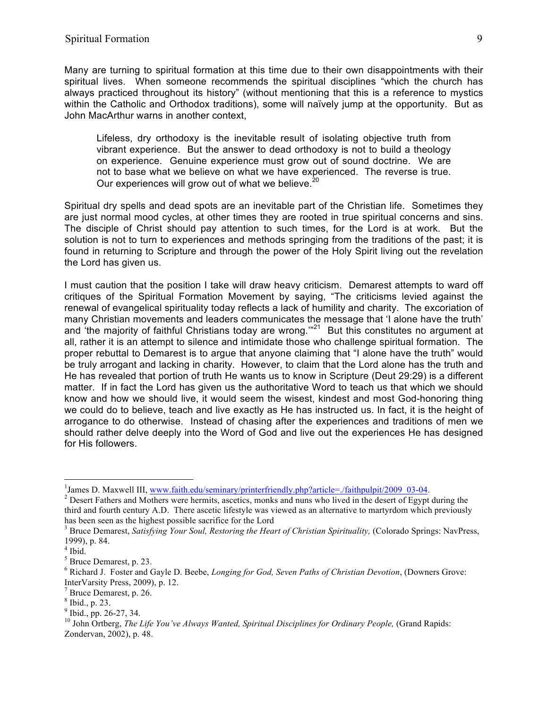Many are turning to spiritual formation at this time due to their own disappointments with their spiritual lives. When someone recommends the spiritual disciplines "which the church has always practiced throughout its history" (without mentioning that this is a reference to mystics within the Catholic and Orthodox traditions), some will naïvely jump at the opportunity. But as John MacArthur warns in another context,

Lifeless, dry orthodoxy is the inevitable result of isolating objective truth from vibrant experience. But the answer to dead orthodoxy is not to build a theology on experience. Genuine experience must grow out of sound doctrine. We are not to base what we believe on what we have experienced. The reverse is true. Our experiences will grow out of what we believe. $20$ 

Spiritual dry spells and dead spots are an inevitable part of the Christian life. Sometimes they are just normal mood cycles, at other times they are rooted in true spiritual concerns and sins. The disciple of Christ should pay attention to such times, for the Lord is at work. But the solution is not to turn to experiences and methods springing from the traditions of the past; it is found in returning to Scripture and through the power of the Holy Spirit living out the revelation the Lord has given us.

I must caution that the position I take will draw heavy criticism. Demarest attempts to ward off critiques of the Spiritual Formation Movement by saying, "The criticisms levied against the renewal of evangelical spirituality today reflects a lack of humility and charity. The excoriation of many Christian movements and leaders communicates the message that 'I alone have the truth' and 'the majority of faithful Christians today are wrong."<sup>21</sup> But this constitutes no argument at all, rather it is an attempt to silence and intimidate those who challenge spiritual formation. The proper rebuttal to Demarest is to argue that anyone claiming that "I alone have the truth" would be truly arrogant and lacking in charity. However, to claim that the Lord alone has the truth and He has revealed that portion of truth He wants us to know in Scripture (Deut 29:29) is a different matter. If in fact the Lord has given us the authoritative Word to teach us that which we should know and how we should live, it would seem the wisest, kindest and most God-honoring thing we could do to believe, teach and live exactly as He has instructed us. In fact, it is the height of arrogance to do otherwise. Instead of chasing after the experiences and traditions of men we should rather delve deeply into the Word of God and live out the experiences He has designed for His followers.

 $\frac{1}{1}$ <sup>1</sup> James D. Maxwell III, www.faith.edu/seminary/printerfriendly.php?article=./faithpulpit/2009\_03-04. <sup>2</sup> Desert Fathers and Mothers were hermits, ascetics, monks and nuns who lived in the desert of Egypt during the

third and fourth century A.D. There ascetic lifestyle was viewed as an alternative to martyrdom which previously has been seen as the highest possible sacrifice for the Lord

<sup>&</sup>lt;sup>3</sup> Bruce Demarest, *Satisfying Your Soul, Restoring the Heart of Christian Spirituality, (Colorado Springs: NavPress,* 1999), p. 84.

 $<sup>4</sup>$  Ibid.</sup>

<sup>5</sup> Bruce Demarest, p. 23.

<sup>6</sup> Richard J. Foster and Gayle D. Beebe, *Longing for God, Seven Paths of Christian Devotion*, (Downers Grove: InterVarsity Press, 2009), p. 12.

 $\frac{7}{1}$  Bruce Demarest, p. 26.

 $\frac{8}{9}$  Ibid., p. 23.<br> $\frac{9}{1}$ Ibid., pp. 26-27, 34.

<sup>&</sup>lt;sup>10</sup> John Ortberg, *The Life You've Always Wanted, Spiritual Disciplines for Ordinary People, (Grand Rapids:* Zondervan, 2002), p. 48.